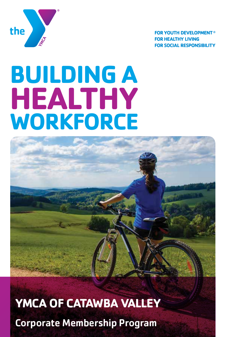

**FOR YOUTH DEVELOPMENT® FOR HEALTHY LIVING FOR SOCIAL RESPONSIBILITY** 

# **BUILDING A WORKFORCE HEALTHY**



**YMCA OF CATAWBA VALLEY** Corporate Membership Program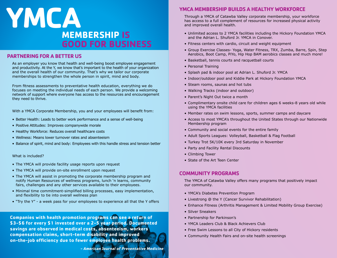## **YMCA MEMBERSHIP IS GOOD FOR BUSINESS**

#### **PARTNERING FOR A BETTER US**

As an employer you know that health and well-being boost employee engagement and productivity. At the Y, we know that's important to the health of your organization and the overall health of our community. That's why we tailor our corporate memberships to strengthen the whole person in spirit, mind and body.

From fitness assessments to preventative health education, everything we do focuses on meeting the individual needs of each person. We provide a welcoming network of support where everyone has access to the resources and encouragement they need to thrive.

With a YMCA Corporate Membership, you and your employees will benefit from:

- Better Health: Leads to better work performance and a sense of well-being
- Positive Attitudes: Improves companywide morale
- Healthy Workforce: Reduces overall healthcare costs
- Wellness: Means lower turnover rates and absenteeism
- Balance of spirit, mind and body: Employees with this handle stress and tension better

#### What is included?

- The YMCA will provide facility usage reports upon request
- The YMCA will provide on-site enrollment upon request
- The YMCA will assist in promoting the corporate membership program and notify Human Resources of wellness programs, lunch 'n learns, community fairs, challenges and any other services available to their employees.
- Minimal time commitment-simplified billing processes, easy implementation, and flexibility to tie into overall wellness plan
- "Try the Y" a week pass for your employees to experience all that the Y offers

**Companies with health promotion programs can see a return of \$3-\$6 for every \$1 invested over a 2-5 year period. Documented savings are observed in medical costs, absenteeism, workers compensation claims, short-term disability and improved on-the-job efficiency due to fewer employee health problems.**

**- American Journal of Preventative Medicine**

#### **YMCA MEMBERSHIP BUILDS A HEALTHY WORKFORCE**

Through a YMCA of Catawba Valley corporate membership, your workforce has access to a full complement of resources for increased physical activity and improved overall health.

- Unlimited access to 2 YMCA facilities including the Hickory Foundation YMCA and the Adrian L. Shuford Jr. YMCA in Conover.
- Fitness centers with cardio, circuit and weight equipment
- Group Exercise Classes- Yoga, Water Fitness, TRX, Zumba, Barre, Spin, Step Aerobics, Boot Camp, PiYo, Hip Hop BAM aerobics classes and much more!
- Basketball, tennis courts and racquetball courts
- Personal Training
- Splash pad & indoor pool at Adrian L. Shuford Jr. YMCA
- Indoor/outdoor pool and Kiddie Park at Hickory Foundation YMCA
- Steam rooms, saunas and hot tubs
- Walking Tracks (indoor and outdoor)
- Parent's Night Out twice a month
- Complimentary onsite child care for children ages 6 weeks-8 years old while using the YMCA facilities
- Member rates on swim lessons, sports, summer camps and daycare
- Access to most YMCA's throughout the United States through our Nationwide Membership program
- Community and social events for the entire family
- Adult Sports Leagues: Volleyball, Basketball & Flag Football
- Turkey Trot 5K/10K every 3rd Saturday in November
- Party and Facility Rental Discounts
- Climbing Tower
- State of the Art Teen Center

#### **COMMUNITY PROGRAMS**

The YMCA of Catawba Valley offers many programs that positively impact our community.

- YMCA's Diabetes Prevention Program
- Livestrong @ the Y (Cancer Survivor Rehabilitation)
- Enhance Fitness (Arthritis Management & Limited Mobility Group Exercise)
- Silver Sneakers
- Partnership for Parkinson's
- YMCA Leaders Club & Black Achievers Club
- Free Swim Lessons to all City of Hickory residents
- Community Health Fairs and on-site health screenings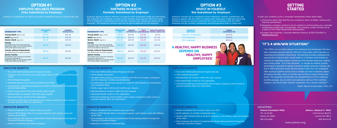### **OPTION #1** EMPLOYEE WELLNESS PROGRAM **Fully Subsidized by Employer**

Employer is responsible for 100% of monthly membership dues at a reduced flat rate. Employer agrees to partner with the Y to improve their employees' health and well-being. The employer will contribute a portion of the monthly dues and the YMCA will match 50% of employer's contribution up to \$20 per employee per month (see below for an example). The employee monthly dues will be payroll deducted by the employer.

| Emplo  |
|--------|
| agrees |
| Comp   |
| Emplo  |

#### **OPTION #2** PARTNERS IN HEALTH **Partially Subsidized by Employer**

#### **OPTION #3** INVEST IN YOURSELF **Not Subsidized by Employer**

yer chooses not to contribute to their employees' monthly membership, but a to partner with the YMCA to improve their employees' health and well-being. Iny will pay an annual investment fee to join as partners with the YMCA. ee will pay monthly membership dues through bank draft or credit card.

- Two onsite Wellness/Educational Programs annually
- Employer will be provided one complimentary table at YMCA Annual Meeting held in May
- YMCA Website Recognition
- Simplified billing process-invoiced monthly by the YMCA
- Complimentary Membership awarded to contact for administration of memberships and centralized billing
- Facility usage reports will be sent monthly upon request
- Representation at company health fairs upon request
- Discounted facility rentals for the organization
- Promotional Materials and Newsletters about classes, programs & other events to promote wellness within the organization

- Each employee will receive 8 complimentary fitness training sessions through the Coaching Connection program
- Reduction on monthly membership fees
- 
- 
- 
- Mission Investment Fee is waived (value up to \$50)
- Receive YMCA Member Rate on all sports programs, swim lessons, camp and childcare at the YMCA
- Each employee will receive 8 complimentary fitness training sessions through the Coaching Connection program
- Monthly membership dues paid by employer

| Dependents under 19 or a full-time student<br>at the same address under age 24.                                                                                                                                                                                                                                                                                                                                                                                                                                                                                                                                                                                                                      | Dependents under 19 or a full-time student<br>at the same address under age 24.                                                                                                                                                                                                                                                                                                                                                                                                                                                                                                                                                                                                   |                                                                                                                                                                                                                                                                                                                                                                |
|------------------------------------------------------------------------------------------------------------------------------------------------------------------------------------------------------------------------------------------------------------------------------------------------------------------------------------------------------------------------------------------------------------------------------------------------------------------------------------------------------------------------------------------------------------------------------------------------------------------------------------------------------------------------------------------------------|-----------------------------------------------------------------------------------------------------------------------------------------------------------------------------------------------------------------------------------------------------------------------------------------------------------------------------------------------------------------------------------------------------------------------------------------------------------------------------------------------------------------------------------------------------------------------------------------------------------------------------------------------------------------------------------|----------------------------------------------------------------------------------------------------------------------------------------------------------------------------------------------------------------------------------------------------------------------------------------------------------------------------------------------------------------|
| <b>EMPLOYER BENEFITS:</b><br>• Two onsite Wellness/Educational Programs annually<br>• Employer will be provided one complimentary table at YMCA Annual Meeting held<br>in May<br>• YMCA Website Recognition<br>• Simplified billing process-invoiced monthly by the YMCA<br>• Complimentary Membership awarded to contact for administration of memberships<br>and centralized billing<br>• Facility usage reports will be sent monthly upon request<br>• Representation at company health fairs upon request<br>• Discounted facility rentals for the organization<br>• Promotional Materials and Newsletters about classes, programs & other events to<br>promote wellness within the organization | <b>EMPLOYER BENEFITS:</b><br>• Two onsite Wellness/Educational Programs annually<br>• YMCA Website Recognition<br>• Simplified billing process-invoiced monthly by the YMCA for company contribution<br>plus the employees' monthly payroll deduction<br>• Complimentary Membership awarded to contact for administration of memberships<br>and centralized billing<br>• Facility usage reports will be sent monthly upon request<br>• Representation at company health fairs upon request<br>• Discounted facility rentals for the organization<br>• Promotional Materials and Newsletters about classes, programs & other events to<br>promote wellness within the organization | <b>EMPLOYER BENEFITS:</b><br>• One onsite Wellness/Educational Program annually<br>• YMCA Website Recognition<br>• Representation at company health fairs upon request<br>• Discounted facility rentals for the organization<br>• Promotional Materials and Newsletters about classes, programs & other events to<br>promote wellness within the organization  |
| <b>EMPLOYEE BENEFITS:</b><br>• Mission Investment Fee is waived (value up to \$50)<br>• Receive YMCA Member Rate on all sports programs, swim lessons, camp and<br>childcare at the YMCA<br>• Each employee will receive 8 complimentary fitness training sessions through the<br>Coaching Connection program<br>. Monthly membership dues paid by employer                                                                                                                                                                                                                                                                                                                                          | <b>EMPLOYEE BENEFITS:</b><br>• Mission Investment Fee is waived (value up to \$50)<br>• Receive YMCA Member Rate on all sports programs, swim lessons, camp and childcare<br>at the YMCA<br>• Each employee will receive 8 complimentary fitness training sessions through the<br>Coaching Connection program<br>• Reduction on monthly membership fees                                                                                                                                                                                                                                                                                                                           | <b>EMPLOYEE BENEFITS:</b><br>• Mission Investment Fee is waived (value up to \$50)<br>• \$5.00 reduction on monthly membership fees<br>• Receive YMCA Member Rate on all sports programs, swim lessons, camp and childcare<br>at the YMCA<br>• Each employee will receive 8 complimentary fitness training sessions through the<br>Coaching Connection program |

- **MCA Website Recognition**
- Representation at company health fairs upon request
- liscounted facility rentals for the organization
- Promotional Materials and Newsletters about classes, programs & other events to romote wellness within the organization
- **1.**Choose the option that best fits your company's vision of health, wellness and financial commitment.
- **2.**Designate a company contact to act as a liaison to communicate your corporate membership benefit plan to employees. The company contact will also act as a liaison to the YMCA Membership Administrator.
- **3.**Contact Lala Kozischek, Corporate Wellness Director, at 828-578-6995 or lalak@ymcacv.org.

"The YMCA is an excellent resource for employers and employees! We have been corporate partners with the YMCA for many years, and it has been a rewarding and beneficial relationship. Membership provides employees the opportunity to improve their overall health in a Christian environment by working out, attending classes, swimming in the Olympic sized pool, walking and running inside - out of the elements - or outside as weather permits, participating in educational classes to promote healthy living and wellness, etc., and in YMCA sponsored events like the annual Turkey Trot. Our employees often workout together during lunch or breaks and take scheduled classes throughout the day, which is a terrific way for them to lessen anxiety and stress. The corporate membership has strengthened our firm's employee benefits package, has provided local assistance with our firm's wellness program, and has brought healthier employees. It's a win/win situation!"

- \$5.00 reduction on monthly membership fees
- eceive YMCA Member Rate on all sports programs, swim lessons, camp and childcare at the YMCA
- Each employee will receive 8 complimentary fitness training sessions through the Coaching Connection program

| <b>MEMBERSHIP TYPE</b>                                                                                                                                                              | <b>MEMRERSHIP</b><br><b>RATE</b> | <b>COMPANY</b><br><b>CONTRIBUTION</b> | <b>YMCA</b><br><b>CONTRIBUTION</b> | <b>EMPLOYEE MONTHLY</b><br><b>PAYROLL DEDUCTION</b> |
|-------------------------------------------------------------------------------------------------------------------------------------------------------------------------------------|----------------------------------|---------------------------------------|------------------------------------|-----------------------------------------------------|
| Young Adult (Ages 19-25)                                                                                                                                                            | \$34.00                          | \$20.00                               | \$10.00                            | \$4.00                                              |
| <b>Adult</b> (Ages 26-61)                                                                                                                                                           | \$47.00                          | \$20.00                               | \$10.00                            | \$17.00                                             |
| <b>Senior Adult</b> (Age $62+$ )                                                                                                                                                    | \$42.00                          | \$20.00                               | \$10.00                            | \$12.00                                             |
| Family<br>Two adults living in the same household.<br>Dependents under 19 or a full-time student<br>at the same address under age 24.                                               | \$68,00                          | \$20.00                               | \$10.00                            | \$38.00                                             |
| <b>Family without Dependents</b><br>Two adults living in the same household.                                                                                                        | \$60.00                          | \$20.00                               | \$10.00                            | \$30.00                                             |
| <b>Senior Family</b><br>All members living in the same household.<br>At least one adult age 62+.<br>Dependents under 19 or a full-time student<br>at the same address under age 24. | \$60.00                          | \$20.00                               | \$10.00                            | \$30.00                                             |

| <b>MEMBERSHIP TYPE</b>                                                                                                                                                              | <b>MEMBERSHIP</b><br><b>RATE</b> | <b>COMPANY</b><br><b>REDUCED RATE</b> | <b>MEMBERSHIP TYPE</b>                                                                                                                     |
|-------------------------------------------------------------------------------------------------------------------------------------------------------------------------------------|----------------------------------|---------------------------------------|--------------------------------------------------------------------------------------------------------------------------------------------|
| Young Adult (Ages 19-25)                                                                                                                                                            | \$34.00                          | \$25.00                               | Young Adult (Ages 1                                                                                                                        |
| <b>Adult</b> (Ages 26-61)                                                                                                                                                           | \$47.00                          | \$35.00                               | <b>Adult</b> (Ages 26-61)                                                                                                                  |
| Senior Adult (Age 62+)                                                                                                                                                              | \$42.00                          | \$30.00                               | Senior Adult (Age 6.                                                                                                                       |
| Family<br>Two adults living in the same household.<br>Dependents under 19 or a full-time student<br>at the same address under age 24.                                               | \$68.00                          | \$50.00                               | Family<br>Two adults living in the sai<br>Dependents under 19 or a<br>at the same address under                                            |
| <b>Family without Dependents</b><br>Two adults living in the same household.                                                                                                        | \$60.00                          | \$50.00                               | <b>Family without De</b><br>Two adults living in the sa                                                                                    |
| <b>Senior Family</b><br>All members living in the same household.<br>At least one adult age 62+.<br>Dependents under 19 or a full-time student<br>at the same address under age 24. | \$60.00                          | \$50.00                               | <b>Senior Family</b><br>All members living in the s<br>At least one adult age 62+<br>Dependents under 19 or a<br>at the same address under |

| <b>NUMBER OF</b><br><b>EMPLOYEES</b> | <b>ANNUAL</b><br><b>INVESTMENT FEE</b> |
|--------------------------------------|----------------------------------------|
| Less than 10 employees               | \$150.00                               |
| 11-99 employees                      | \$300.00                               |
| 100+ employees                       | \$500.00                               |
|                                      |                                        |

### **GETTING STARTED**

To sign your company up for a corporate membership, follow these steps:

#### **LOCATIONS:**

**www.ymcacv.org**

**Hickory Foundation YMCA** 701 1st St NW Hickory NC 28601 828-324-2858

**Adrian L. Shuford Jr. YMCA**  1104 Conover BLVD E Conover NC 28613 828-464-6130

### **"IT'S A WIN/WIN SITUATION!"**

*Martin Starnes & Associates, CPA's, P.A.*

### **A HEALTHY, HAPPY BUSINESS DEPENDS ON HEALTHY, HAPPY EMPLOYEES!**